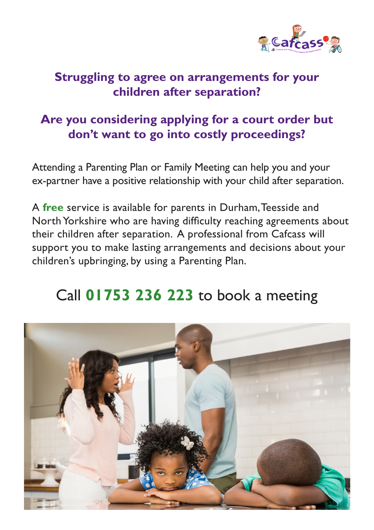

## **Struggling to agree on arrangements for your children after separation?**

## **Are you considering applying for a court order but don't want to go into costly proceedings?**

Attending a Parenting Plan or Family Meeting can help you and your ex-partner have a positive relationship with your child after separation.

A **free** service is available for parents in Durham, Teesside and North Yorkshire who are having difficulty reaching agreements about their children after separation. A professional from Cafcass will support you to make lasting arrangements and decisions about your children's upbringing, by using a Parenting Plan.

# Call **01753 236 223** to book a meeting